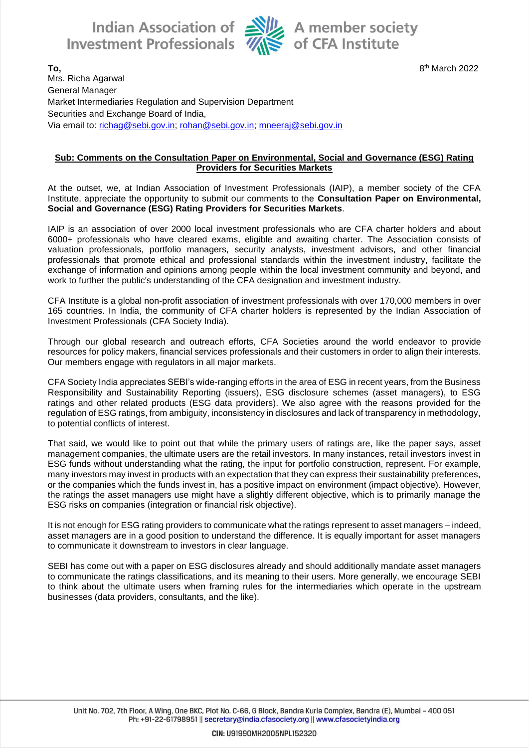Indian Association of Alle A member society<br>Investment Professionals We of CFA Institute



8<sup>th</sup> March 2022

**To,** 8 Mrs. Richa Agarwal General Manager Market Intermediaries Regulation and Supervision Department Securities and Exchange Board of India, Via email to: [richag@sebi.gov.in;](mailto:richag@sebi.gov.in) [rohan@sebi.gov.in;](mailto:rohan@sebi.gov.in) [mneeraj@sebi.gov.in](mailto:mneeraj@sebi.gov.in)

#### **Sub: Comments on the Consultation Paper on Environmental, Social and Governance (ESG) Rating Providers for Securities Markets**

At the outset, we, at Indian Association of Investment Professionals (IAIP), a member society of the CFA Institute, appreciate the opportunity to submit our comments to the **Consultation Paper on Environmental, Social and Governance (ESG) Rating Providers for Securities Markets**.

IAIP is an association of over 2000 local investment professionals who are CFA charter holders and about 6000+ professionals who have cleared exams, eligible and awaiting charter. The Association consists of valuation professionals, portfolio managers, security analysts, investment advisors, and other financial professionals that promote ethical and professional standards within the investment industry, facilitate the exchange of information and opinions among people within the local investment community and beyond, and work to further the public's understanding of the CFA designation and investment industry.

CFA Institute is a global non-profit association of investment professionals with over 170,000 members in over 165 countries. In India, the community of CFA charter holders is represented by the Indian Association of Investment Professionals (CFA Society India).

Through our global research and outreach efforts, CFA Societies around the world endeavor to provide resources for policy makers, financial services professionals and their customers in order to align their interests. Our members engage with regulators in all major markets.

CFA Society India appreciates SEBI's wide-ranging efforts in the area of ESG in recent years, from the Business Responsibility and Sustainability Reporting (issuers), ESG disclosure schemes (asset managers), to ESG ratings and other related products (ESG data providers). We also agree with the reasons provided for the regulation of ESG ratings, from ambiguity, inconsistency in disclosures and lack of transparency in methodology, to potential conflicts of interest.

That said, we would like to point out that while the primary users of ratings are, like the paper says, asset management companies, the ultimate users are the retail investors. In many instances, retail investors invest in ESG funds without understanding what the rating, the input for portfolio construction, represent. For example, many investors may invest in products with an expectation that they can express their sustainability preferences, or the companies which the funds invest in, has a positive impact on environment (impact objective). However, the ratings the asset managers use might have a slightly different objective, which is to primarily manage the ESG risks on companies (integration or financial risk objective).

It is not enough for ESG rating providers to communicate what the ratings represent to asset managers – indeed, asset managers are in a good position to understand the difference. It is equally important for asset managers to communicate it downstream to investors in clear language.

SEBI has come out with a paper on ESG disclosures already and should additionally mandate asset managers to communicate the ratings classifications, and its meaning to their users. More generally, we encourage SEBI to think about the ultimate users when framing rules for the intermediaries which operate in the upstream businesses (data providers, consultants, and the like).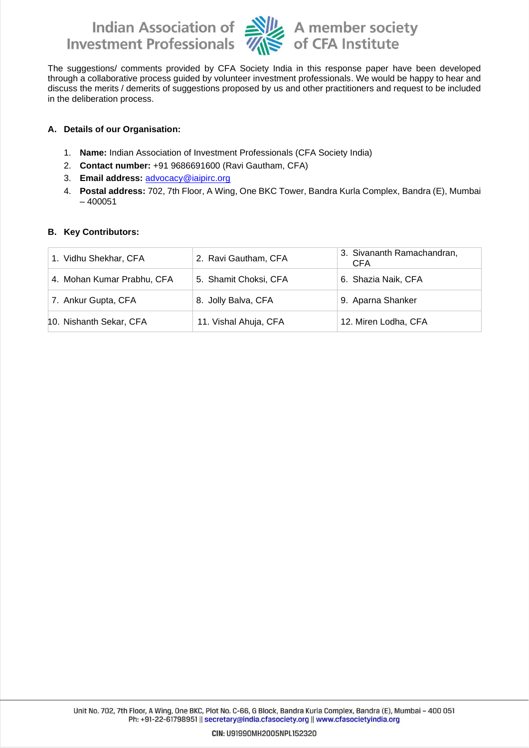Indian Association of Ally A member society<br>Investment Professionals Ally of CFA Institute



The suggestions/ comments provided by CFA Society India in this response paper have been developed through a collaborative process guided by volunteer investment professionals. We would be happy to hear and discuss the merits / demerits of suggestions proposed by us and other practitioners and request to be included in the deliberation process.

### **A. Details of our Organisation:**

- 1. **Name:** Indian Association of Investment Professionals (CFA Society India)
- 2. **Contact number:** +91 9686691600 (Ravi Gautham, CFA)
- 3. **Email address:** [advocacy@iaipirc.org](mailto:advocacy@iaipirc.org)
- 4. **Postal address:** 702, 7th Floor, A Wing, One BKC Tower, Bandra Kurla Complex, Bandra (E), Mumbai – 400051

#### **B. Key Contributors:**

| 1. Vidhu Shekhar, CFA      | 2. Ravi Gautham, CFA  | 3. Sivananth Ramachandran,<br><b>CFA</b> |
|----------------------------|-----------------------|------------------------------------------|
| 4. Mohan Kumar Prabhu, CFA | 5. Shamit Choksi, CFA | 6. Shazia Naik, CFA                      |
| 7. Ankur Gupta, CFA        | 8. Jolly Balva, CFA   | 9. Aparna Shanker                        |
| 10. Nishanth Sekar, CFA    | 11. Vishal Ahuja, CFA | 12. Miren Lodha, CFA                     |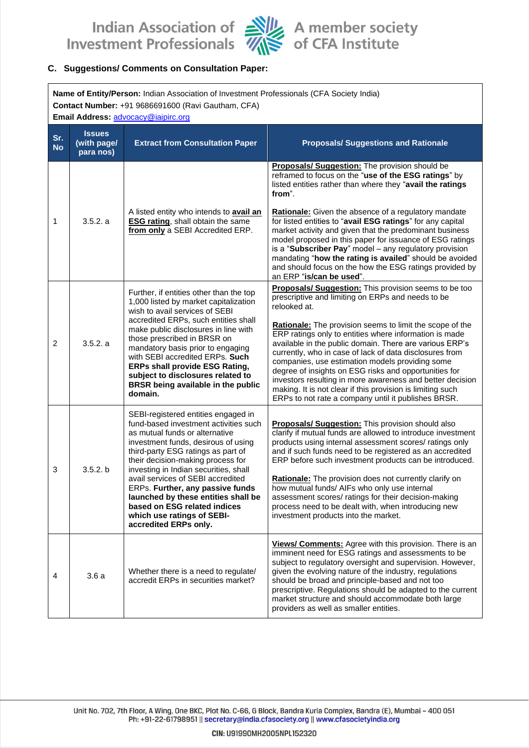Indian Association of Alle A member society<br>Investment Professionals Alle of CFA Institute



#### C. Suggestions/ Comments on Consultation Paper:

| Name of Entity/Person: Indian Association of Investment Professionals (CFA Society India)<br>Contact Number: +91 9686691600 (Ravi Gautham, CFA)<br>Email Address: advocacy@iaipirc.org |                                           |                                                                                                                                                                                                                                                                                                                                                                                                                                                                                  |                                                                                                                                                                                                                                                                                                                                                                                                                                                                                                                                                                                                                                                                      |  |
|----------------------------------------------------------------------------------------------------------------------------------------------------------------------------------------|-------------------------------------------|----------------------------------------------------------------------------------------------------------------------------------------------------------------------------------------------------------------------------------------------------------------------------------------------------------------------------------------------------------------------------------------------------------------------------------------------------------------------------------|----------------------------------------------------------------------------------------------------------------------------------------------------------------------------------------------------------------------------------------------------------------------------------------------------------------------------------------------------------------------------------------------------------------------------------------------------------------------------------------------------------------------------------------------------------------------------------------------------------------------------------------------------------------------|--|
| Sr.<br><b>No</b>                                                                                                                                                                       | <b>Issues</b><br>(with page/<br>para nos) | <b>Extract from Consultation Paper</b>                                                                                                                                                                                                                                                                                                                                                                                                                                           | <b>Proposals/ Suggestions and Rationale</b>                                                                                                                                                                                                                                                                                                                                                                                                                                                                                                                                                                                                                          |  |
| 1                                                                                                                                                                                      | 3.5.2. a                                  | A listed entity who intends to avail an<br><b>ESG rating, shall obtain the same</b><br>from only a SEBI Accredited ERP.                                                                                                                                                                                                                                                                                                                                                          | Proposals/ Suggestion: The provision should be<br>reframed to focus on the "use of the ESG ratings" by<br>listed entities rather than where they "avail the ratings<br>from".<br>Rationale: Given the absence of a regulatory mandate<br>for listed entities to "avail ESG ratings" for any capital<br>market activity and given that the predominant business<br>model proposed in this paper for issuance of ESG ratings<br>is a "Subscriber Pay" model - any regulatory provision<br>mandating "how the rating is availed" should be avoided<br>and should focus on the how the ESG ratings provided by<br>an ERP "is/can be used".                               |  |
| $\overline{c}$                                                                                                                                                                         | 3.5.2. a                                  | Further, if entities other than the top<br>1,000 listed by market capitalization<br>wish to avail services of SEBI<br>accredited ERPs, such entities shall<br>make public disclosures in line with<br>those prescribed in BRSR on<br>mandatory basis prior to engaging<br>with SEBI accredited ERPs. Such<br><b>ERPs shall provide ESG Rating,</b><br>subject to disclosures related to<br>BRSR being available in the public<br>domain.                                         | Proposals/ Suggestion: This provision seems to be too<br>prescriptive and limiting on ERPs and needs to be<br>relooked at.<br>Rationale: The provision seems to limit the scope of the<br>ERP ratings only to entities where information is made<br>available in the public domain. There are various ERP's<br>currently, who in case of lack of data disclosures from<br>companies, use estimation models providing some<br>degree of insights on ESG risks and opportunities for<br>investors resulting in more awareness and better decision<br>making. It is not clear if this provision is limiting such<br>ERPs to not rate a company until it publishes BRSR. |  |
| 3                                                                                                                                                                                      | 3.5.2. b                                  | SEBI-registered entities engaged in<br>fund-based investment activities such<br>as mutual funds or alternative<br>investment funds, desirous of using<br>third-party ESG ratings as part of<br>their decision-making process for<br>investing in Indian securities, shall<br>avail services of SEBI accredited<br>ERPs. Further, any passive funds<br>launched by these entities shall be<br>based on ESG related indices<br>which use ratings of SEBI-<br>accredited ERPs only. | Proposals/ Suggestion: This provision should also<br>clarify if mutual funds are allowed to introduce investment<br>products using internal assessment scores/ ratings only<br>and if such funds need to be registered as an accredited<br>ERP before such investment products can be introduced.<br>Rationale: The provision does not currently clarify on<br>how mutual funds/ AIFs who only use internal<br>assessment scores/ ratings for their decision-making<br>process need to be dealt with, when introducing new<br>investment products into the market.                                                                                                   |  |
| 4                                                                                                                                                                                      | 3.6a                                      | Whether there is a need to regulate/<br>accredit ERPs in securities market?                                                                                                                                                                                                                                                                                                                                                                                                      | Views/ Comments: Agree with this provision. There is an<br>imminent need for ESG ratings and assessments to be<br>subject to regulatory oversight and supervision. However,<br>given the evolving nature of the industry, regulations<br>should be broad and principle-based and not too<br>prescriptive. Regulations should be adapted to the current<br>market structure and should accommodate both large<br>providers as well as smaller entities.                                                                                                                                                                                                               |  |

Unit No. 702, 7th Floor, A Wing, One BKC, Plot No. C-66, G Block, Bandra Kurla Complex, Bandra (E), Mumbai - 400 051 Ph: +91-22-61798951 || secretary@india.cfasociety.org || www.cfasocietyindia.org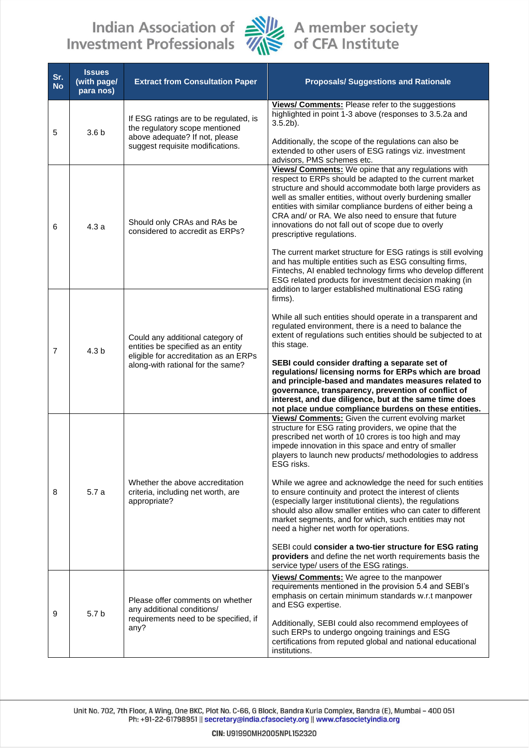## Indian Association of Alle A member society<br>Investment Professionals Alle of CFA Institute



| Sr.<br><b>No</b> | <b>Issues</b><br>(with page/<br>para nos) | <b>Extract from Consultation Paper</b>                                                                                                               | <b>Proposals/ Suggestions and Rationale</b>                                                                                                                                                                                                                                                                                                                                                                                                                                                                                                                                                                                                                                                                                                                                                                                           |
|------------------|-------------------------------------------|------------------------------------------------------------------------------------------------------------------------------------------------------|---------------------------------------------------------------------------------------------------------------------------------------------------------------------------------------------------------------------------------------------------------------------------------------------------------------------------------------------------------------------------------------------------------------------------------------------------------------------------------------------------------------------------------------------------------------------------------------------------------------------------------------------------------------------------------------------------------------------------------------------------------------------------------------------------------------------------------------|
| 5                | 3.6 <sub>b</sub>                          | If ESG ratings are to be regulated, is<br>the regulatory scope mentioned<br>above adequate? If not, please<br>suggest requisite modifications.       | Views/ Comments: Please refer to the suggestions<br>highlighted in point 1-3 above (responses to 3.5.2a and<br>$3.5.2b$ ).<br>Additionally, the scope of the regulations can also be<br>extended to other users of ESG ratings viz. investment<br>advisors, PMS schemes etc.                                                                                                                                                                                                                                                                                                                                                                                                                                                                                                                                                          |
| 6                | 4.3a                                      | Should only CRAs and RAs be<br>considered to accredit as ERPs?                                                                                       | Views/ Comments: We opine that any regulations with<br>respect to ERPs should be adapted to the current market<br>structure and should accommodate both large providers as<br>well as smaller entities, without overly burdening smaller<br>entities with similar compliance burdens of either being a<br>CRA and/ or RA. We also need to ensure that future<br>innovations do not fall out of scope due to overly<br>prescriptive regulations.<br>The current market structure for ESG ratings is still evolving<br>and has multiple entities such as ESG consulting firms,<br>Fintechs, AI enabled technology firms who develop different<br>ESG related products for investment decision making (in<br>addition to larger established multinational ESG rating                                                                     |
| $\overline{7}$   | 4.3 <sub>b</sub>                          | Could any additional category of<br>entities be specified as an entity<br>eligible for accreditation as an ERPs<br>along-with rational for the same? | firms).<br>While all such entities should operate in a transparent and<br>regulated environment, there is a need to balance the<br>extent of regulations such entities should be subjected to at<br>this stage.<br>SEBI could consider drafting a separate set of<br>regulations/ licensing norms for ERPs which are broad<br>and principle-based and mandates measures related to<br>governance, transparency, prevention of conflict of<br>interest, and due diligence, but at the same time does<br>not place undue compliance burdens on these entities.                                                                                                                                                                                                                                                                          |
| 8                | 5.7 a                                     | Whether the above accreditation<br>criteria, including net worth, are<br>appropriate?                                                                | Views/ Comments: Given the current evolving market<br>structure for ESG rating providers, we opine that the<br>prescribed net worth of 10 crores is too high and may<br>impede innovation in this space and entry of smaller<br>players to launch new products/ methodologies to address<br>ESG risks.<br>While we agree and acknowledge the need for such entities<br>to ensure continuity and protect the interest of clients<br>(especially larger institutional clients), the regulations<br>should also allow smaller entities who can cater to different<br>market segments, and for which, such entities may not<br>need a higher net worth for operations.<br>SEBI could consider a two-tier structure for ESG rating<br>providers and define the net worth requirements basis the<br>service type/ users of the ESG ratings. |
| 9                | 5.7 <sub>b</sub>                          | Please offer comments on whether<br>any additional conditions/<br>requirements need to be specified, if<br>any?                                      | Views/ Comments: We agree to the manpower<br>requirements mentioned in the provision 5.4 and SEBI's<br>emphasis on certain minimum standards w.r.t manpower<br>and ESG expertise.<br>Additionally, SEBI could also recommend employees of<br>such ERPs to undergo ongoing trainings and ESG<br>certifications from reputed global and national educational<br>institutions.                                                                                                                                                                                                                                                                                                                                                                                                                                                           |

Unit No. 702, 7th Floor, A Wing, One BKC, Plot No. C-66, G Block, Bandra Kurla Complex, Bandra (E), Mumbai - 400 051<br>Ph: +91-22-61798951 || secretary@india.cfasociety.org || www.cfasocietyindia.org